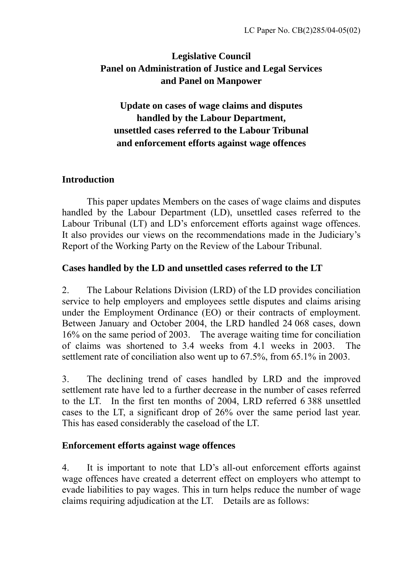# **Legislative Council Panel on Administration of Justice and Legal Services and Panel on Manpower**

# **Update on cases of wage claims and disputes handled by the Labour Department, unsettled cases referred to the Labour Tribunal and enforcement efforts against wage offences**

### **Introduction**

 This paper updates Members on the cases of wage claims and disputes handled by the Labour Department (LD), unsettled cases referred to the Labour Tribunal (LT) and LD's enforcement efforts against wage offences. It also provides our views on the recommendations made in the Judiciary's Report of the Working Party on the Review of the Labour Tribunal.

### **Cases handled by the LD and unsettled cases referred to the LT**

2. The Labour Relations Division (LRD) of the LD provides conciliation service to help employers and employees settle disputes and claims arising under the Employment Ordinance (EO) or their contracts of employment. Between January and October 2004, the LRD handled 24 068 cases, down 16% on the same period of 2003. The average waiting time for conciliation of claims was shortened to 3.4 weeks from 4.1 weeks in 2003. The settlement rate of conciliation also went up to 67.5%, from 65.1% in 2003.

3. The declining trend of cases handled by LRD and the improved settlement rate have led to a further decrease in the number of cases referred to the LT. In the first ten months of 2004, LRD referred 6 388 unsettled cases to the LT, a significant drop of 26% over the same period last year. This has eased considerably the caseload of the LT.

### **Enforcement efforts against wage offences**

4. It is important to note that LD's all-out enforcement efforts against wage offences have created a deterrent effect on employers who attempt to evade liabilities to pay wages. This in turn helps reduce the number of wage claims requiring adjudication at the LT. Details are as follows: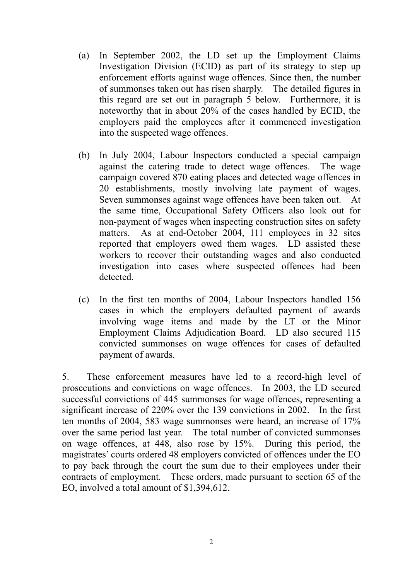- (a) In September 2002, the LD set up the Employment Claims Investigation Division (ECID) as part of its strategy to step up enforcement efforts against wage offences. Since then, the number of summonses taken out has risen sharply. The detailed figures in this regard are set out in paragraph 5 below. Furthermore, it is noteworthy that in about 20% of the cases handled by ECID, the employers paid the employees after it commenced investigation into the suspected wage offences.
- (b) In July 2004, Labour Inspectors conducted a special campaign against the catering trade to detect wage offences. The wage campaign covered 870 eating places and detected wage offences in 20 establishments, mostly involving late payment of wages. Seven summonses against wage offences have been taken out. At the same time, Occupational Safety Officers also look out for non-payment of wages when inspecting construction sites on safety matters. As at end-October 2004, 111 employees in 32 sites reported that employers owed them wages. LD assisted these workers to recover their outstanding wages and also conducted investigation into cases where suspected offences had been detected.
- (c) In the first ten months of 2004, Labour Inspectors handled 156 cases in which the employers defaulted payment of awards involving wage items and made by the LT or the Minor Employment Claims Adjudication Board. LD also secured 115 convicted summonses on wage offences for cases of defaulted payment of awards.

5. These enforcement measures have led to a record-high level of prosecutions and convictions on wage offences. In 2003, the LD secured successful convictions of 445 summonses for wage offences, representing a significant increase of 220% over the 139 convictions in 2002. In the first ten months of 2004, 583 wage summonses were heard, an increase of 17% over the same period last year. The total number of convicted summonses on wage offences, at 448, also rose by 15%. During this period, the magistrates' courts ordered 48 employers convicted of offences under the EO to pay back through the court the sum due to their employees under their contracts of employment. These orders, made pursuant to section 65 of the EO, involved a total amount of \$1,394,612.